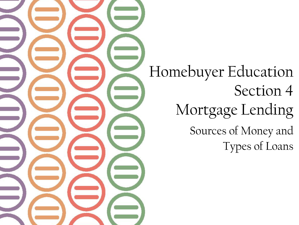Homebuyer Education Section 4 Mortgage Lending Sources of Money and Types of Loans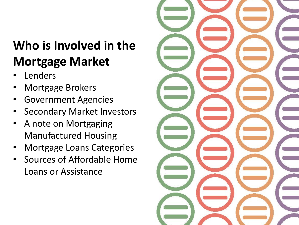- **Lenders**
- Mortgage Brokers
- Government Agencies
- Secondary Market Investors
- A note on Mortgaging Manufactured Housing
- Mortgage Loans Categories
- Sources of Affordable Home Loans or Assistance

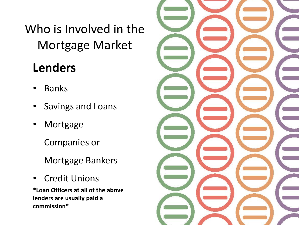### **Lenders**

- Banks
- Savings and Loans
- Mortgage

Companies or

Mortgage Bankers

• Credit Unions

**\*Loan Officers at all of the above lenders are usually paid a commission\*** 

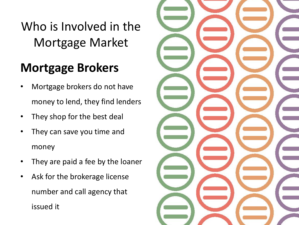### **Mortgage Brokers**

- Mortgage brokers do not have money to lend, they find lenders
- They shop for the best deal
- They can save you time and money
- They are paid a fee by the loaner
- Ask for the brokerage license number and call agency that issued it

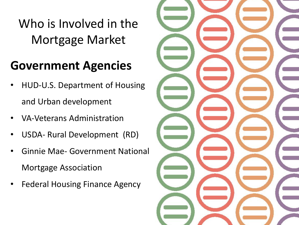#### **Government Agencies**

- HUD-U.S. Department of Housing and Urban development
- VA-Veterans Administration
- USDA- Rural Development (RD)
- Ginnie Mae- Government National Mortgage Association
- Federal Housing Finance Agency

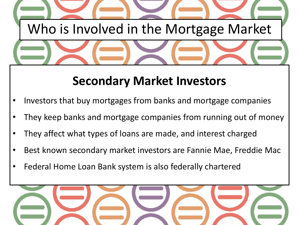

### **Secondary Market Investors**

- Investors that buy mortgages from banks and mortgage companies
- They keep banks and mortgage companies from running out of money
- They affect what types of loans are made, and interest charged
- Best known secondary market investors are Fannie Mae, Freddie Mac
- Federal Home Loan Bank system is also federally chartered

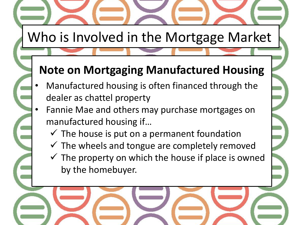#### **Note on Mortgaging Manufactured Housing**

- Manufactured housing is often financed through the dealer as chattel property
- Fannie Mae and others may purchase mortgages on manufactured housing if…
	- $\checkmark$  The house is put on a permanent foundation
	- $\checkmark$  The wheels and tongue are completely removed
	- $\checkmark$  The property on which the house if place is owned by the homebuyer.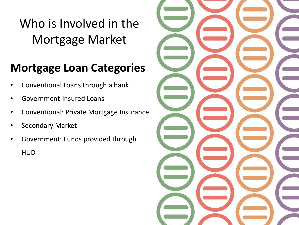#### **Mortgage Loan Categories**

- Conventional Loans through a bank
- Government-Insured Loans
- Conventional: Private Mortgage Insurance
- Secondary Market
- Government: Funds provided through HUD

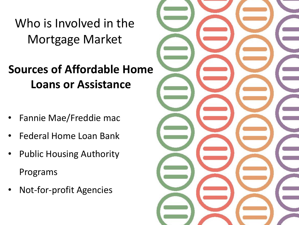**Sources of Affordable Home Loans or Assistance** 

- Fannie Mae/Freddie mac
- Federal Home Loan Bank
- Public Housing Authority Programs
- Not-for-profit Agencies

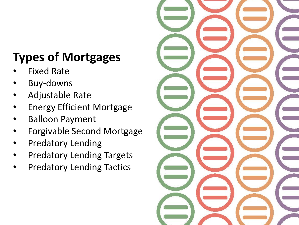- **Fixed Rate**
- Buy-downs
- Adjustable Rate
- Energy Efficient Mortgage
- Balloon Payment
- Forgivable Second Mortgage
- Predatory Lending
- Predatory Lending Targets
- Predatory Lending Tactics

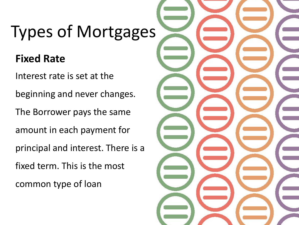#### **Fixed Rate**

Interest rate is set at the beginning and never changes. The Borrower pays the same amount in each payment for principal and interest. There is a fixed term. This is the most common type of loan

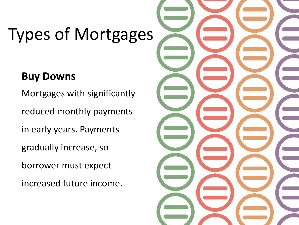#### **Buy Downs**

Mortgages with significantly reduced monthly payments in early years. Payments gradually increase, so borrower must expect

increased future income.

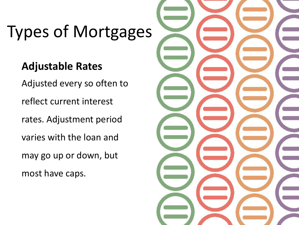#### **Adjustable Rates**

Adjusted every so often to reflect current interest rates. Adjustment period varies with the loan and may go up or down, but most have caps.

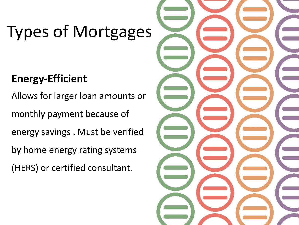#### **Energy-Efficient**

Allows for larger loan amounts or monthly payment because of energy savings . Must be verified by home energy rating systems (HERS) or certified consultant.

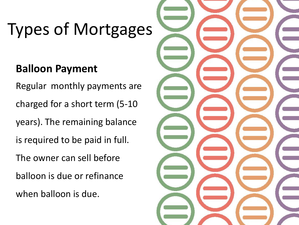#### **Balloon Payment**

Regular monthly payments are charged for a short term (5-10 years). The remaining balance is required to be paid in full. The owner can sell before balloon is due or refinance when balloon is due.

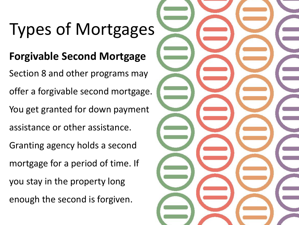#### **Forgivable Second Mortgage**

Section 8 and other programs may offer a forgivable second mortgage. You get granted for down payment assistance or other assistance. Granting agency holds a second mortgage for a period of time. If you stay in the property long enough the second is forgiven.

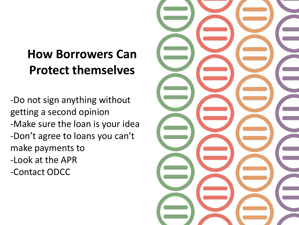### **How Borrowers Can Protect themselves**

-Do not sign anything without getting a second opinion -Make sure the loan is your idea -Don't agree to loans you can't make payments to -Look at the APR -Contact ODCC

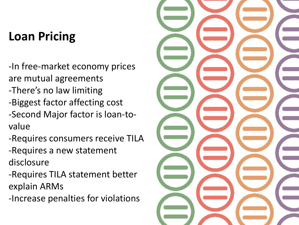### **Loan Pricing**

-In free-market economy prices are mutual agreements -There's no law limiting -Biggest factor affecting cost -Second Major factor is loan-tovalue

-Requires consumers receive TILA

-Requires a new statement disclosure

-Requires TILA statement better explain ARMs

-Increase penalties for violations

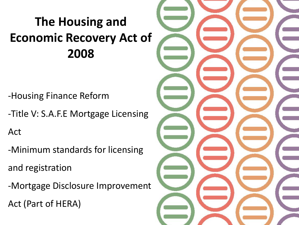## **The Housing and Economic Recovery Act of 2008**

-Housing Finance Reform

-Title V: S.A.F.E Mortgage Licensing

Act

-Minimum standards for licensing

and registration

-Mortgage Disclosure Improvement Act (Part of HERA)